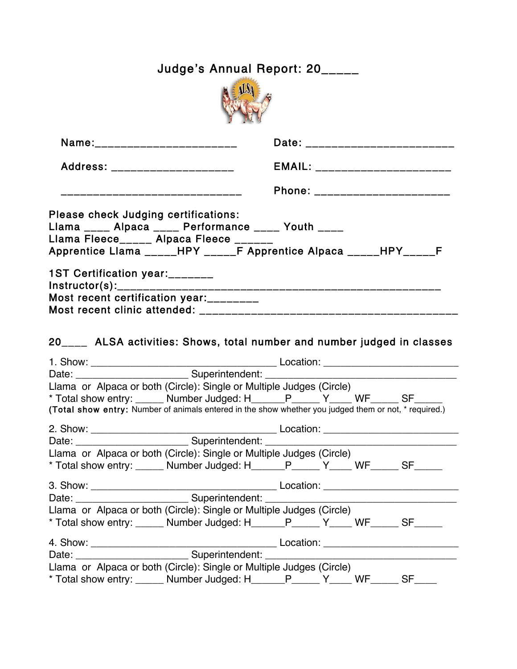| Judge's Annual Report: 20_____                                                                                                                                                                                    |                                                                                                                                                                                         |  |  |  |  |  |  |
|-------------------------------------------------------------------------------------------------------------------------------------------------------------------------------------------------------------------|-----------------------------------------------------------------------------------------------------------------------------------------------------------------------------------------|--|--|--|--|--|--|
|                                                                                                                                                                                                                   |                                                                                                                                                                                         |  |  |  |  |  |  |
| Name:__________________________                                                                                                                                                                                   | Date: _____________________________                                                                                                                                                     |  |  |  |  |  |  |
|                                                                                                                                                                                                                   |                                                                                                                                                                                         |  |  |  |  |  |  |
| _______________________________                                                                                                                                                                                   | Phone: ______________________                                                                                                                                                           |  |  |  |  |  |  |
| Please check Judging certifications:<br>Llama ____ Alpaca ____ Performance ____ Youth ____<br>Llama Fleece_____ Alpaca Fleece ______<br>1ST Certification year:_______<br>Most recent certification year:________ | Apprentice Llama _____HPY _____F Apprentice Alpaca _____HPY_____F<br>20____ ALSA activities: Shows, total number and number judged in classes                                           |  |  |  |  |  |  |
|                                                                                                                                                                                                                   |                                                                                                                                                                                         |  |  |  |  |  |  |
|                                                                                                                                                                                                                   |                                                                                                                                                                                         |  |  |  |  |  |  |
| Llama or Alpaca or both (Circle): Single or Multiple Judges (Circle)                                                                                                                                              | * Total show entry: ______ Number Judged: H______P_____ Y____ WF______ SF_____<br>(Total show entry: Number of animals entered in the show whether you judged them or not, * required.) |  |  |  |  |  |  |
| Date: _____________________________Superintendent: _____________________________<br>Llama or Alpaca or both (Circle): Single or Multiple Judges (Circle)                                                          | * Total show entry: ______ Number Judged: H______P_____ Y____ WF______ SF______                                                                                                         |  |  |  |  |  |  |
|                                                                                                                                                                                                                   |                                                                                                                                                                                         |  |  |  |  |  |  |
| Llama or Alpaca or both (Circle): Single or Multiple Judges (Circle)                                                                                                                                              | * Total show entry: ______ Number Judged: H______P_____ Y____ WF______ SF______                                                                                                         |  |  |  |  |  |  |
|                                                                                                                                                                                                                   |                                                                                                                                                                                         |  |  |  |  |  |  |
|                                                                                                                                                                                                                   |                                                                                                                                                                                         |  |  |  |  |  |  |
| Llama or Alpaca or both (Circle): Single or Multiple Judges (Circle)                                                                                                                                              | * Total show entry: ______ Number Judged: H______P_____ Y____ WF_____ SF____                                                                                                            |  |  |  |  |  |  |